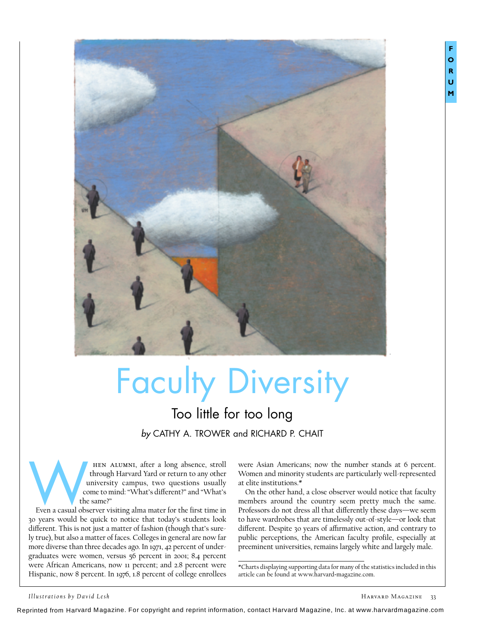

# Faculty Diversity

## Too little for too long *by* CATHY A. TROWER and RICHARD P. CHAIT

hen alumni, after a long absence, stroll through Harvard Yard or return to any other university campus, two questions usually come to mind: "What's different?" and "What's the same?" HEN ALUMNI, after a long absence, stroll<br>through Harvard Yard or return to any other<br>university campus, two questions usually<br>come to mind: "What's different?" and "What's<br>the same?"<br>Even a casual observer visiting alma ma

30 years would be quick to notice that today's students look different. This is not just a matter of fashion (though that's surely true), but also a matter of faces. Colleges in general are now far more diverse than three decades ago. In 1971, 42 percent of undergraduates were women, versus 56 percent in 2001; 8.4 percent were African Americans, now 11 percent; and 2.8 percent were Hispanic, now 8 percent. In 1976, 1.8 percent of college enrollees

were Asian Americans; now the number stands at 6 percent. Women and minority students are particularly well-represented at elite institutions.\*

On the other hand, a close observer would notice that faculty members around the country seem pretty much the same. Professors do not dress all that differently these days—we seem to have wardrobes that are timelessly out-of-style—or look that different. Despite 30 years of affirmative action, and contrary to public perceptions, the American faculty profile, especially at preeminent universities, remains largely white and largely male.

\*Charts displaying supporting data for many of the statistics included in this article can be found at www.harvard-magazine.com.

Reprinted from Harvard Magazine. For copyright and reprint information, contact Harvard Magazine, Inc. at www.harvardmagazine.com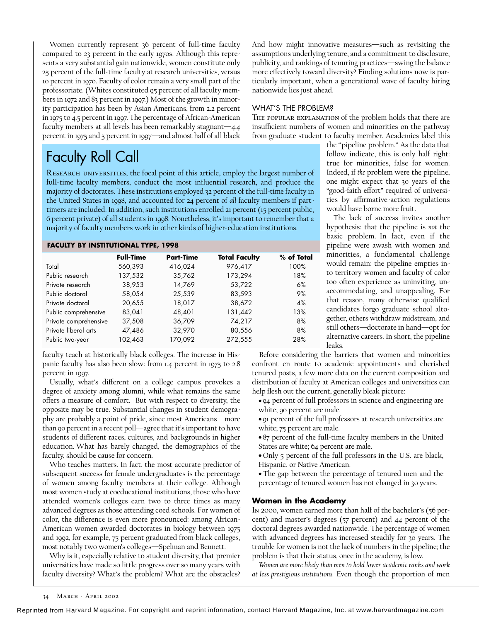Women currently represent 36 percent of full-time faculty compared to 23 percent in the early 1970s. Although this represents a very substantial gain nationwide, women constitute only 25 percent of the full-time faculty at research universities, versus 10 percent in 1970. Faculty of color remain a very small part of the professoriate. (Whites constituted 95 percent of all faculty members in 1972 and 83 percent in 1997.) Most of the growth in minority participation has been by Asian Americans, from 2.2 percent in 1975 to 4.5 percent in 1997. The percentage of African-American faculty members at all levels has been remarkably stagnant—4.4 percent in 1975 and 5 percent in 1997—and almost half of all black And how might innovative measures—such as revisiting the assumptions underlying tenure, and a commitment to disclosure, publicity, and rankings of tenuring practices—swing the balance more effectively toward diversity? Finding solutions now is particularly important, when a generational wave of faculty hiring nationwide lies just ahead.

### WHAT'S THE PROBLEM?

The popular explanation of the problem holds that there are insufficient numbers of women and minorities on the pathway from graduate student to faculty member. Academics label this

## Faculty Roll Call

RESEARCH UNIVERSITIES, the focal point of this article, employ the largest number of full-time faculty members, conduct the most influential research, and produce the majority of doctorates. These institutions employed 32 percent of the full-time faculty in the United States in 1998, and accounted for 24 percent of *all* faculty members if parttimers are included. In addition, such institutions enrolled 21 percent (15 percent public, 6 percent private) of all students in 1998. Nonetheless, it's important to remember that a majority of faculty members work in other kinds of higher-education institutions.

### **FACULTY BY INSTITUTIONAL TYPE, 1998**

| <b>Full-Time</b> | <b>Part-Time</b> | <b>Total Faculty</b> | % of Total |
|------------------|------------------|----------------------|------------|
| 560,393          | 416,024          | 976,417              | 100%       |
| 137,532          | 35,762           | 173,294              | 18%        |
| 38,953           | 14,769           | 53,722               | 6%         |
| 58,054           | 25,539           | 83,593               | 9%         |
| 20,655           | 18,017           | 38,672               | 4%         |
| 83,041           | 48,401           | 131,442              | 13%        |
| 37,508           | 36,709           | 74,217               | 8%         |
| 47,486           | 32,970           | 80,556               | 8%         |
| 102,463          | 170,092          | 272,555              | 28%        |
|                  |                  |                      |            |

faculty teach at historically black colleges. The increase in Hispanic faculty has also been slow: from 1.4 percent in 1975 to 2.8 percent in 1997.

Usually, what's different on a college campus provokes a degree of anxiety among alumni, while what remains the same offers a measure of comfort. But with respect to diversity, the opposite may be true. Substantial changes in student demography are probably a point of pride, since most Americans—more than 90 percent in a recent poll—agree that it's important to have students of different races, cultures, and backgrounds in higher education. What has barely changed, the demographics of the faculty, should be cause for concern.

Who teaches matters. In fact, the most accurate predictor of subsequent success for female undergraduates is the percentage of women among faculty members at their college. Although most women study at coeducational institutions, those who have attended women's colleges earn two to three times as many advanced degrees as those attending coed schools. For women of color, the difference is even more pronounced: among African-American women awarded doctorates in biology between 1975 and 1992, for example, 75 percent graduated from black colleges, most notably two women's colleges—Spelman and Bennett.

Why is it, especially relative to student diversity, that premier universities have made so little progress over so many years with faculty diversity? What's the problem? What are the obstacles? the "pipeline problem." As the data that follow indicate, this is only half right: true for minorities, false for women. Indeed, if *the* problem were the pipeline, one might expect that 30 years of the "good-faith effort" required of universities by affirmative-action regulations would have borne more fruit.

The lack of success invites another hypothesis: that the pipeline is *not* the basic problem. In fact, even if the pipeline were awash with women and minorities, a fundamental challenge would remain: the pipeline empties into territory women and faculty of color too often experience as uninviting, unaccommodating, and unappealing. For that reason, many otherwise qualified candidates forgo graduate school altogether, others withdraw midstream, and still others—doctorate in hand—opt for alternative careers. In short, the pipeline leaks.

Before considering the barriers that women and minorities confront en route to academic appointments and cherished tenured posts, a few more data on the current composition and distribution of faculty at American colleges and universities can help flesh out the current, generally bleak picture:

• 94 percent of full professors in science and engineering are white; 90 percent are male.

• 91 percent of the full professors at research universities are white; 75 percent are male.

• 87 percent of the full-time faculty members in the United States are white; 64 percent are male.

• Only 5 percent of the full professors in the U.S. are black, Hispanic, or Native American.

• The gap between the percentage of tenured men and the percentage of tenured women has not changed in 30 years.

#### **Women in the Academy**

In 2000, women earned more than half of the bachelor's (56 percent) and master's degrees (57 percent) and 44 percent of the doctoral degrees awarded nationwide. The percentage of women with advanced degrees has increased steadily for 30 years. The trouble for women is not the lack of numbers in the pipeline; the problem is that their status, once in the academy, is low.

*Women are more likely than men to hold lower academic ranks and work at less prestigious institutions.* Even though the proportion of men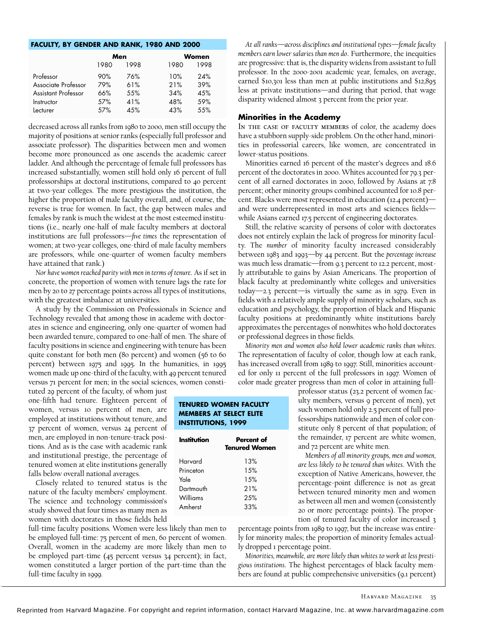#### **FACULTY, BY GENDER AND RANK, 1980 AND 2000**

|                     | Men  |      | Women |      |
|---------------------|------|------|-------|------|
|                     | 1980 | 1998 | 1980  | 1998 |
| Professor           | 90%  | 76%  | 10%   | 24%  |
| Associate Professor | 79%  | 61%  | 21%   | 39%  |
| Assistant Professor | 66%  | 55%  | 34%   | 45%  |
| Instructor          | .57% | 41%  | 48%   | .59% |
| Lecturer            | .57% | 4.5% | 43%   | 5.5% |

decreased across all ranks from 1980 to 2000, men still occupy the majority of positions at senior ranks (especially full professor and associate professor). The disparities between men and women become more pronounced as one ascends the academic career ladder. And although the percentage of female full professors has increased substantially, women still hold only 16 percent of full professorships at doctoral institutions, compared to 40 percent at two-year colleges. The more prestigious the institution, the higher the proportion of male faculty overall, and, of course, the reverse is true for women. In fact, the gap between males and females by rank is much the widest at the most esteemed institutions (i.e., nearly one-half of male faculty members at doctoral institutions are full professors—*five times* the representation of women; at two-year colleges, one-third of male faculty members are professors, while one-quarter of women faculty members have attained that rank.)

*Nor have women reached parity with men in terms of tenure*. As if set in concrete, the proportion of women with tenure lags the rate for men by 20 to 27 percentage points across all types of institutions, with the greatest imbalance at universities.

A study by the Commission on Professionals in Science and Technology revealed that among those in academe with doctorates in science and engineering, only one-quarter of women had been awarded tenure, compared to one-half of men. The share of faculty positions in science and engineering with tenure has been quite constant for both men (80 percent) and women (56 to 60 percent) between 1975 and 1995. In the humanities, in 1995 women made up one-third of the faculty, with 49 percent tenured versus 71 percent for men; in the social sciences, women consti-

tuted 29 percent of the faculty, of whom just one-fifth had tenure. Eighteen percent of women, versus 10 percent of men, are employed at institutions without tenure, and 37 percent of women, versus 24 percent of men, are employed in non-tenure-track positions. And as is the case with academic rank and institutional prestige, the percentage of tenured women at elite institutions generally falls below overall national averages.

Closely related to tenured status is the nature of the faculty members' employment. The science and technology commission's study showed that four times as many men as women with doctorates in those fields held

full-time faculty positions. Women were less likely than men to be employed full-time: 75 percent of men, 60 percent of women. Overall, women in the academy are more likely than men to be employed part-time (45 percent versus 34 percent); in fact, women constituted a larger portion of the part-time than the full-time faculty in 1999.

*At all ranks—across disciplines and institutional types—female faculty members earn lower salaries than men do*. Furthermore, the inequities are progressive: that is, the disparity widens from assistant to full professor. In the 2000-2001 academic year, females, on average, earned \$10,301 less than men at public institutions and \$12,895 less at private institutions—and during that period, that wage disparity widened almost 3 percent from the prior year.

#### **Minorities in the Academy**

In the case of faculty members of color, the academy does have a stubborn supply-side problem. On the other hand, minorities in professorial careers, like women, are concentrated in lower-status positions.

Minorities earned 16 percent of the master's degrees and 18.6 percent of the doctorates in 2000. Whites accounted for 79.3 percent of all earned doctorates in 2000, followed by Asians at 7.8 percent; other minority groups combined accounted for 10.8 percent. Blacks were most represented in education (12.4 percent) and were underrepresented in most arts and sciences fields while Asians earned 17.5 percent of engineering doctorates.

Still, the relative scarcity of persons of color with doctorates does not entirely explain the lack of progress for minority faculty. The *number* of minority faculty increased considerably between 1983 and 1993—by 44 percent. But the *percentage increase* was much less dramatic—from 9.3 percent to 12.2 percent, mostly attributable to gains by Asian Americans. The proportion of black faculty at predominantly white colleges and universities today—2.3 percent—is virtually the same as in 1979. Even in fields with a relatively ample supply of minority scholars, such as education and psychology, the proportion of black and Hispanic faculty positions at predominantly white institutions barely approximates the percentages of nonwhites who hold doctorates or professional degrees in those fields.

*Minority men and women also hold lower academic ranks than whites*. The representation of faculty of color, though low at each rank, has increased overall from 1989 to 1997. Still, minorities accounted for only 11 percent of the full professors in 1997. Women of color made greater progress than men of color in attaining full-

#### **TENURED WOMEN FACULTY MEMBERS AT SELECT ELITE INSTITUTIONS, 1999**

| Percent of<br><b>Tenured Women</b> |  |
|------------------------------------|--|
| 13%                                |  |
| 1.5%                               |  |
| 1.5%                               |  |
| 21%                                |  |
| 2.5%                               |  |
| 33%                                |  |
|                                    |  |

professor status (23.2 percent of women faculty members, versus 9 percent of men), yet such women hold only 2.5 percent of full professorships nationwide and men of color constitute only 8 percent of that population; of the remainder, 17 percent are white women, and 72 percent are white men.

*Members of all minority groups, men and women, are less likely to be tenured than whites*. With the exception of Native Americans, however, the percentage-point difference is not as great between tenured minority men and women as between all men and women (consistently 20 or more percentage points). The proportion of tenured faculty of color increased 3

percentage points from 1989 to 1997, but the increase was entirely for minority males; the proportion of minority females actually dropped 1 percentage point.

*Minorities, meanwhile, are more likely than whites to work at less prestigious institutions*. The highest percentages of black faculty members are found at public comprehensive universities (9.1 percent)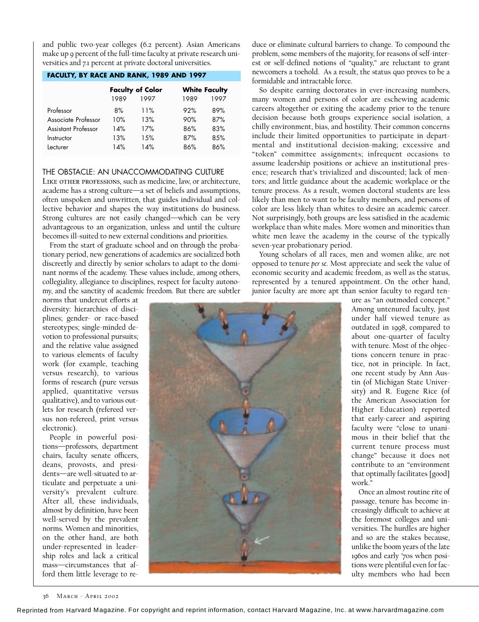and public two-year colleges (6.2 percent). Asian Americans make up 9 percent of the full-time faculty at private research universities and 7.1 percent at private doctoral universities.

#### **FACULTY, BY RACE AND RANK, 1989 AND 1997**

|                     | <b>Faculty of Color</b><br>1989<br>1997 |      | <b>White Faculty</b><br>1997<br>1989 |      |
|---------------------|-----------------------------------------|------|--------------------------------------|------|
| Professor           | 8%                                      | 11%  | 92%                                  | 89%  |
| Associate Professor | 10%                                     | 13%  | 90%                                  | 87%  |
| Assistant Professor | 14%                                     | 17%  | 86%                                  | 83%  |
| Instructor          | 13%                                     | 1.5% | 87%                                  | 8.5% |
| Lecturer            | 14%                                     | 14%  | 86%                                  | 86%  |

#### THE OBSTACLE: AN UNACCOMMODATING CULTURE

LIKE OTHER PROFESSIONS, such as medicine, law, or architecture, academe has a strong culture—a set of beliefs and assumptions, often unspoken and unwritten, that guides individual and collective behavior and shapes the way institutions do business. Strong cultures are not easily changed—which can be very advantageous to an organization, unless and until the culture becomes ill-suited to new external conditions and priorities.

From the start of graduate school and on through the probationary period, new generations of academics are socialized both discreetly and directly by senior scholars to adapt to the dominant norms of the academy. These values include, among others, collegiality, allegiance to disciplines, respect for faculty autonomy, and the sanctity of academic freedom. But there are subtler

norms that undercut efforts at diversity: hierarchies of disciplines; gender- or race-based stereotypes; single-minded devotion to professional pursuits; and the relative value assigned to various elements of faculty work (for example, teaching versus research), to various forms of research (pure versus applied, quantitative versus qualitative), and to various outlets for research (refereed versus non-refereed, print versus electronic).

People in powerful positions—professors, department chairs, faculty senate officers, deans, provosts, and presidents—are well-situated to articulate and perpetuate a university's prevalent culture. After all, these individuals, almost by definition, have been well-served by the prevalent norms. Women and minorities, on the other hand, are both under-represented in leadership roles and lack a critical mass—circumstances that afford them little leverage to reduce or eliminate cultural barriers to change. To compound the problem, some members of the majority, for reasons of self-interest or self-defined notions of "quality," are reluctant to grant newcomers a toehold. As a result, the status quo proves to be a formidable and intractable force.

So despite earning doctorates in ever-increasing numbers, many women and persons of color are eschewing academic careers altogether or exiting the academy prior to the tenure decision because both groups experience social isolation, a chilly environment, bias, and hostility. Their common concerns include their limited opportunities to participate in departmental and institutional decision-making; excessive and "token" committee assignments; infrequent occasions to assume leadership positions or achieve an institutional presence; research that's trivialized and discounted; lack of mentors; and little guidance about the academic workplace or the tenure process. As a result, women doctoral students are less likely than men to want to be faculty members, and persons of color are less likely than whites to desire an academic career. Not surprisingly, both groups are less satisfied in the academic workplace than white males. More women and minorities than white men leave the academy in the course of the typically seven-year probationary period.

Young scholars of all races, men and women alike, are not opposed to tenure *per se*. Most appreciate and seek the value of economic security and academic freedom, as well as the status, represented by a tenured appointment. On the other hand, junior faculty are more apt than senior faculty to regard ten-



ure as "an outmoded concept." Among untenured faculty, just under half viewed tenure as outdated in 1998, compared to about one-quarter of faculty with tenure. Most of the objections concern tenure in practice, not in principle. In fact, one recent study by Ann Austin (of Michigan State University) and R. Eugene Rice (of the American Association for Higher Education) reported that early-career and aspiring faculty were "close to unanimous in their belief that the current tenure process must change" because it does not contribute to an "environment that optimally facilitates [good] work."

Once an almost routine rite of passage, tenure has become increasingly difficult to achieve at the foremost colleges and universities. The hurdles are higher and so are the stakes because, unlike the boom years of the late 1960s and early '70s when positions were plentiful even for faculty members who had been

36 MARCH - APRIL 2002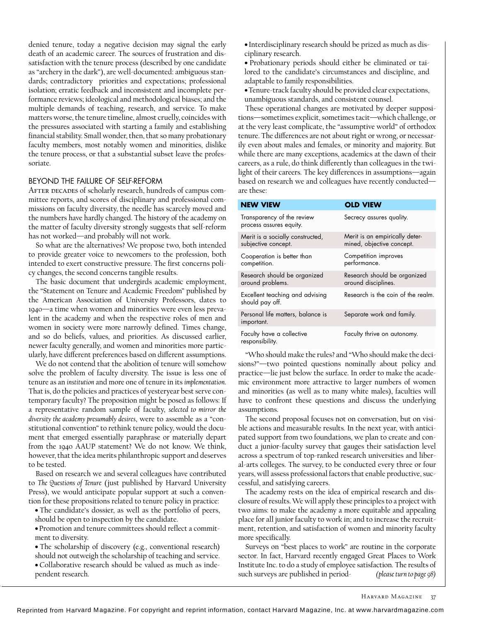denied tenure, today a negative decision may signal the early death of an academic career. The sources of frustration and dissatisfaction with the tenure process (described by one candidate as "archery in the dark"), are well-documented: ambiguous standards; contradictory priorities and expectations; professional isolation; erratic feedback and inconsistent and incomplete performance reviews; ideological and methodological biases; and the multiple demands of teaching, research, and service. To make matters worse, the tenure timeline, almost cruelly, coincides with the pressures associated with starting a family and establishing financial stability. Small wonder, then, that so many probationary faculty members, most notably women and minorities, dislike the tenure process, or that a substantial subset leave the professoriate.

#### BEYOND THE FAILURE OF SELF-REFORM

AFTER DECADES of scholarly research, hundreds of campus committee reports, and scores of disciplinary and professional commissions on faculty diversity, the needle has scarcely moved and the numbers have hardly changed. The history of the academy on the matter of faculty diversity strongly suggests that self-reform has not worked—and probably will not work.

So what are the alternatives? We propose two, both intended to provide greater voice to newcomers to the profession, both intended to exert constructive pressure. The first concerns policy changes, the second concerns tangible results.

The basic document that undergirds academic employment, the "Statement on Tenure and Academic Freedom" published by the American Association of University Professors, dates to 1940—a time when women and minorities were even less prevalent in the academy and when the respective roles of men and women in society were more narrowly defined. Times change, and so do beliefs, values, and priorities. As discussed earlier, newer faculty generally, and women and minorities more particularly, have different preferences based on different assumptions.

We do not contend that the abolition of tenure will somehow solve the problem of faculty diversity. The issue is less one of tenure as an *institution* and more one of tenure in its *implementation*. That is, do the policies and practices of yesteryear best serve contemporary faculty? The proposition might be posed as follows: If a representative random sample of faculty, *selected to mirror the diversity the academy presumably desires*, were to assemble as a "constitutional convention" to rethink tenure policy, would the document that emerged essentially paraphrase or materially depart from the 1940 AAUP statement? We do not know. We think, however, that the idea merits philanthropic support and deserves to be tested.

Based on research we and several colleagues have contributed to *The Questions of Tenure* (just published by Harvard University Press), we would anticipate popular support at such a convention for these propositions related to tenure policy in practice:

• The candidate's dossier, as well as the portfolio of peers, should be open to inspection by the candidate.

• Promotion and tenure committees should reflect a commitment to diversity.

• The scholarship of discovery (e.g., conventional research) should not outweigh the scholarship of teaching and service.

• Collaborative research should be valued as much as independent research.

• Interdisciplinary research should be prized as much as disciplinary research.

• Probationary periods should either be eliminated or tailored to the candidate's circumstances and discipline, and adaptable to family responsibilities.

• Tenure-track faculty should be provided clear expectations, unambiguous standards, and consistent counsel.

These operational changes are motivated by deeper suppositions—sometimes explicit, sometimes tacit—which challenge, or at the very least complicate, the "assumptive world" of orthodox tenure. The differences are not about right or wrong, or necessarily even about males and females, or minority and majority. But while there are many exceptions, academics at the dawn of their careers, as a rule, do think differently than colleagues in the twilight of their careers. The key differences in assumptions—again based on research we and colleagues have recently conducted are these:

| <b>NEW VIEW</b>                                         | <b>OLD VIEW</b>                                             |
|---------------------------------------------------------|-------------------------------------------------------------|
| Transparency of the review<br>process assures equity.   | Secrecy assures quality.                                    |
| Merit is a socially constructed,<br>subjective concept. | Merit is an empirically deter-<br>mined, objective concept. |
| Cooperation is better than<br>competition.              | Competition improves<br>performance.                        |
| Research should be organized<br>around problems.        | Research should be organized<br>around disciplines.         |
| Excellent teaching and advising<br>should pay off.      | Research is the coin of the realm.                          |
| Personal life matters, balance is<br>important.         | Separate work and family.                                   |
| Faculty have a collective<br>responsibility.            | Faculty thrive on autonomy.                                 |

"Who should make the rules? and "Who should make the decisions?"—two pointed questions nominally about policy and practice—lie just below the surface. In order to make the academic environment more attractive to larger numbers of women and minorities (as well as to many white males), faculties will have to confront these questions and discuss the underlying assumptions.

The second proposal focuses not on conversation, but on visible actions and measurable results. In the next year, with anticipated support from two foundations, we plan to create and conduct a junior-faculty survey that gauges their satisfaction level across a spectrum of top-ranked research universities and liberal-arts colleges. The survey, to be conducted every three or four years, will assess professional factors that enable productive, successful, and satisfying careers.

The academy rests on the idea of empirical research and disclosure of results. We will apply these principles to a project with two aims: to make the academy a more equitable and appealing place for all junior faculty to work in; and to increase the recruitment, retention, and satisfaction of women and minority faculty more specifically.

Surveys on "best places to work" are routine in the corporate sector. In fact, Harvard recently engaged Great Places to Work Institute Inc. to do a study of employee satisfaction. The results of such surveys are published in period-*(please turn to page 98)*